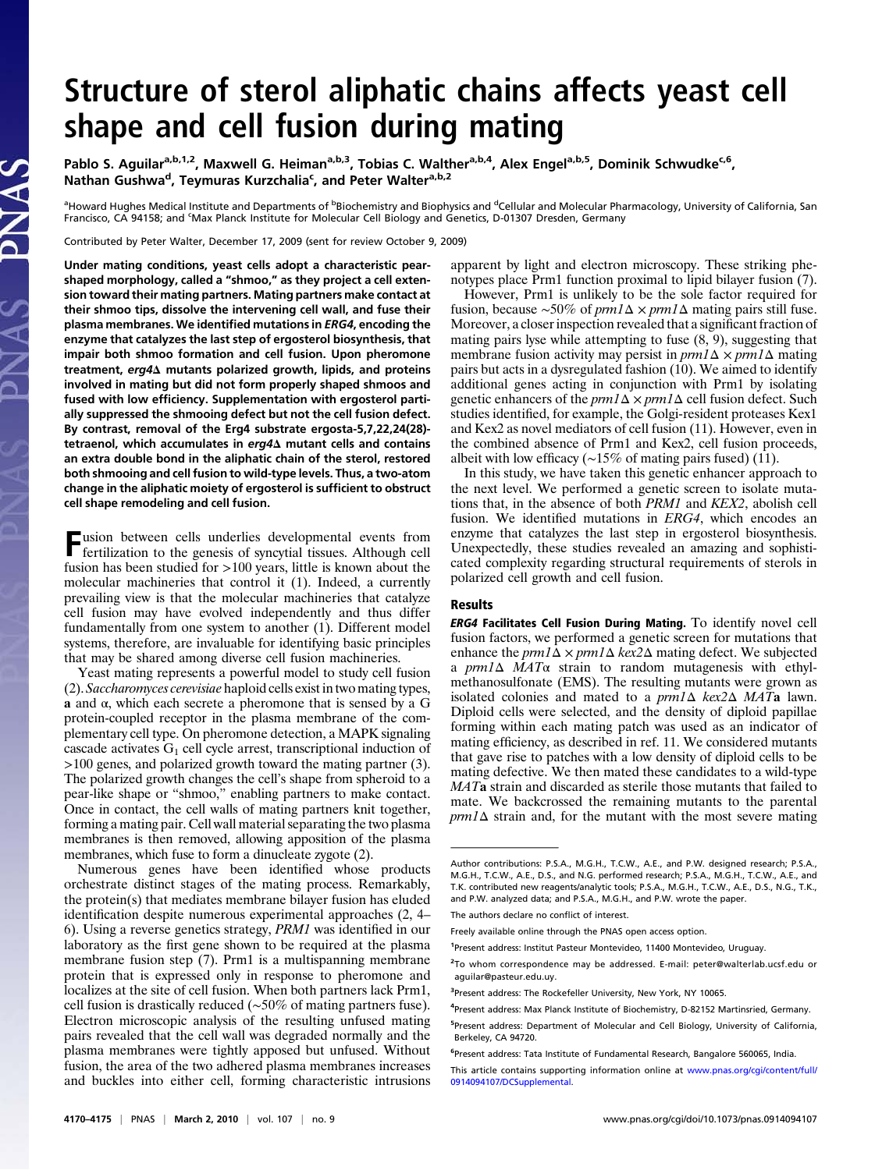## Structure of sterol aliphatic chains affects yeast cell shape and cell fusion during mating

Pablo S. Aguilar<sup>a,b,1,2</sup>, Maxwell G. Heiman<sup>a,b,3</sup>, Tobias C. Walther<sup>a,b,4</sup>, Alex Engel<sup>a,b,5</sup>, Dominik Schwudke<sup>c,6</sup>, Nathan Gushwa<sup>d</sup>, Teymuras Kurzchalia<sup>c</sup>, and Peter Walter<sup>a,b,2</sup>

<sup>a</sup>Howard Hughes Medical Institute and Departments of <sup>b</sup>Biochemistry and Biophysics and <sup>d</sup>Cellular and Molecular Pharmacology, University of California, San Francisco, CA 94158; and <sup>c</sup>Max Planck Institute for Molecular Cell Biology and Genetics, D-01307 Dresden, Germany

Contributed by Peter Walter, December 17, 2009 (sent for review October 9, 2009)

Under mating conditions, yeast cells adopt a characteristic pearshaped morphology, called a "shmoo," as they project a cell extension toward their mating partners. Mating partners make contact at their shmoo tips, dissolve the intervening cell wall, and fuse their plasma membranes. We identified mutations in ERG4, encoding the enzyme that catalyzes the last step of ergosterol biosynthesis, that impair both shmoo formation and cell fusion. Upon pheromone treatment, erg4<sup>Δ</sup> mutants polarized growth, lipids, and proteins involved in mating but did not form properly shaped shmoos and fused with low efficiency. Supplementation with ergosterol partially suppressed the shmooing defect but not the cell fusion defect. By contrast, removal of the Erg4 substrate ergosta-5,7,22,24(28) tetraenol, which accumulates in erg4∆ mutant cells and contains an extra double bond in the aliphatic chain of the sterol, restored both shmooing and cell fusion to wild-type levels. Thus, a two-atom change in the aliphatic moiety of ergosterol is sufficient to obstruct cell shape remodeling and cell fusion.

Fusion between cells underlies developmental events from fertilization to the genesis of syncytial tissues. Although cell fusion has been studied for >100 years, little is known about the molecular machineries that control it (1). Indeed, a currently prevailing view is that the molecular machineries that catalyze cell fusion may have evolved independently and thus differ fundamentally from one system to another (1). Different model systems, therefore, are invaluable for identifying basic principles that may be shared among diverse cell fusion machineries.

Yeast mating represents a powerful model to study cell fusion (2). Saccharomyces cerevisiae haploid cells exist in two mating types, a and  $\alpha$ , which each secrete a pheromone that is sensed by a G protein-coupled receptor in the plasma membrane of the complementary cell type. On pheromone detection, a MAPK signaling cascade activates  $G_1$  cell cycle arrest, transcriptional induction of >100 genes, and polarized growth toward the mating partner (3). The polarized growth changes the cell's shape from spheroid to a pear-like shape or "shmoo," enabling partners to make contact. Once in contact, the cell walls of mating partners knit together, forming a mating pair. Cell wall material separating the two plasma membranes is then removed, allowing apposition of the plasma membranes, which fuse to form a dinucleate zygote (2).

Numerous genes have been identified whose products orchestrate distinct stages of the mating process. Remarkably, the protein(s) that mediates membrane bilayer fusion has eluded identification despite numerous experimental approaches (2, 4– 6). Using a reverse genetics strategy, PRM1 was identified in our laboratory as the first gene shown to be required at the plasma membrane fusion step (7). Prm1 is a multispanning membrane protein that is expressed only in response to pheromone and localizes at the site of cell fusion. When both partners lack Prm1, cell fusion is drastically reduced (∼50% of mating partners fuse). Electron microscopic analysis of the resulting unfused mating pairs revealed that the cell wall was degraded normally and the plasma membranes were tightly apposed but unfused. Without fusion, the area of the two adhered plasma membranes increases and buckles into either cell, forming characteristic intrusions apparent by light and electron microscopy. These striking phenotypes place Prm1 function proximal to lipid bilayer fusion (7).

However, Prm1 is unlikely to be the sole factor required for fusion, because ∼50% of *prm1*∆ × *prm1*∆ mating pairs still fuse. Moreover, a closer inspection revealed that a significant fraction of mating pairs lyse while attempting to fuse (8, 9), suggesting that membrane fusion activity may persist in  $prm1\Delta \times \text{prm1}\Delta$  mating pairs but acts in a dysregulated fashion (10). We aimed to identify additional genes acting in conjunction with Prm1 by isolating genetic enhancers of the  $pm1\Delta \times pm1\Delta$  cell fusion defect. Such studies identified, for example, the Golgi-resident proteases Kex1 and Kex2 as novel mediators of cell fusion (11). However, even in the combined absence of Prm1 and Kex2, cell fusion proceeds, albeit with low efficacy (∼15% of mating pairs fused) (11).

In this study, we have taken this genetic enhancer approach to the next level. We performed a genetic screen to isolate mutations that, in the absence of both PRM1 and KEX2, abolish cell fusion. We identified mutations in ERG4, which encodes an enzyme that catalyzes the last step in ergosterol biosynthesis. Unexpectedly, these studies revealed an amazing and sophisticated complexity regarding structural requirements of sterols in polarized cell growth and cell fusion.

## Results

ERG4 Facilitates Cell Fusion During Mating. To identify novel cell fusion factors, we performed a genetic screen for mutations that enhance the  $prm1\Delta \times prm1\Delta$  kex2 $\Delta$  mating defect. We subjected a prm1Δ MATα strain to random mutagenesis with ethylmethanosulfonate (EMS). The resulting mutants were grown as isolated colonies and mated to a  $prm1\Delta$  kex2 $\Delta$  MATa lawn. Diploid cells were selected, and the density of diploid papillae forming within each mating patch was used as an indicator of mating efficiency, as described in ref. 11. We considered mutants that gave rise to patches with a low density of diploid cells to be mating defective. We then mated these candidates to a wild-type MATa strain and discarded as sterile those mutants that failed to mate. We backcrossed the remaining mutants to the parental  $prm1\Delta$  strain and, for the mutant with the most severe mating

<sup>2</sup>To whom correspondence may be addressed. E-mail: [peter@walterlab.ucsf.edu](mailto:peter@walterlab.ucsf.edu) or [aguilar@pasteur.edu.uy.](mailto:aguilar@pasteur.edu.uy)

Author contributions: P.S.A., M.G.H., T.C.W., A.E., and P.W. designed research; P.S.A., M.G.H., T.C.W., A.E., D.S., and N.G. performed research; P.S.A., M.G.H., T.C.W., A.E., and T.K. contributed new reagents/analytic tools; P.S.A., M.G.H., T.C.W., A.E., D.S., N.G., T.K., and P.W. analyzed data; and P.S.A., M.G.H., and P.W. wrote the paper.

The authors declare no conflict of interest.

Freely available online through the PNAS open access option.

<sup>1</sup> Present address: Institut Pasteur Montevideo, 11400 Montevideo, Uruguay.

<sup>&</sup>lt;sup>3</sup>Present address: The Rockefeller University, New York, NY 10065.

<sup>4</sup> Present address: Max Planck Institute of Biochemistry, D-82152 Martinsried, Germany.

<sup>&</sup>lt;sup>5</sup>Present address: Department of Molecular and Cell Biology, University of California, Berkeley, CA 94720.

<sup>&</sup>lt;sup>6</sup>Present address: Tata Institute of Fundamental Research, Bangalore 560065, India.

This article contains supporting information online at [www.pnas.org/cgi/content/full/](http://www.pnas.org/cgi/content/full/0914094107/DCSupplemental) [0914094107/DCSupplemental.](http://www.pnas.org/cgi/content/full/0914094107/DCSupplemental)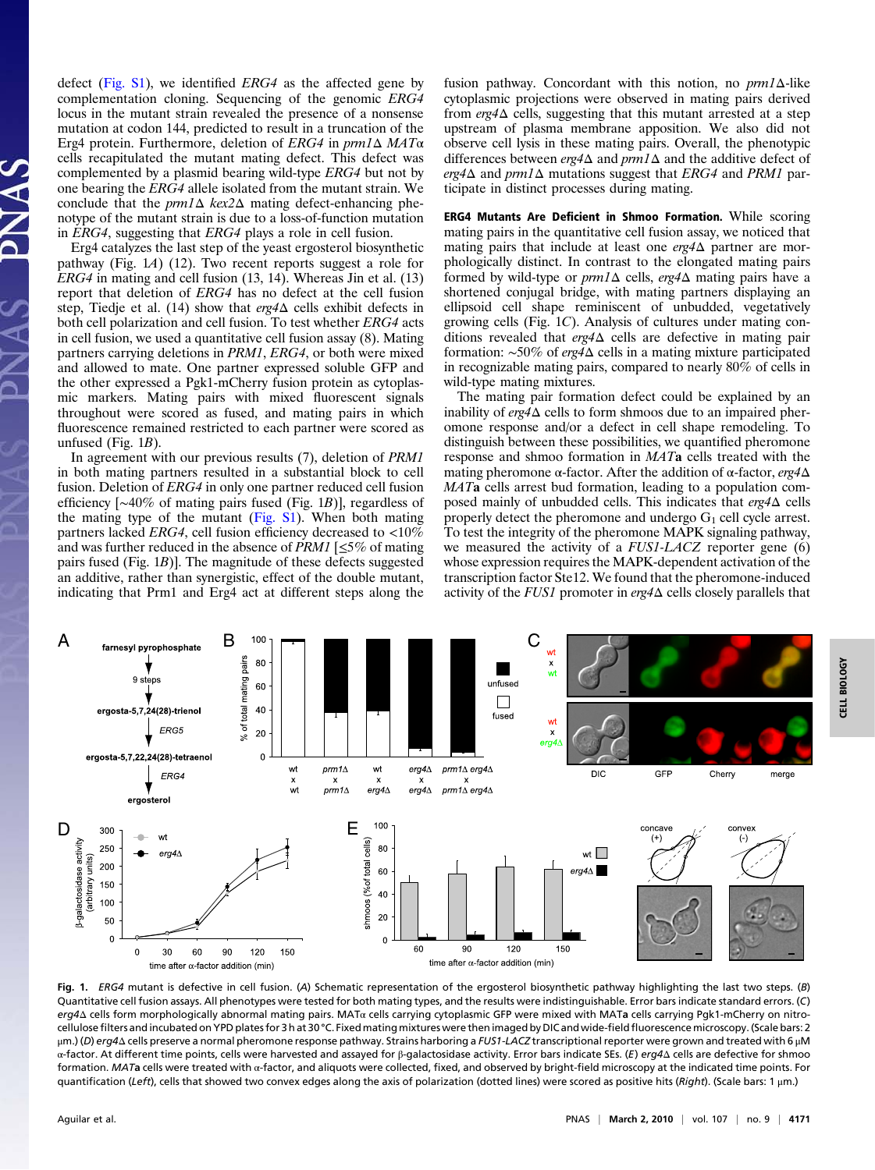defect [\(Fig. S1](http://www.pnas.org/cgi/data/0914094107/DCSupplemental/Supplemental_PDF#nameddest=sfig01)), we identified ERG4 as the affected gene by complementation cloning. Sequencing of the genomic ERG4 locus in the mutant strain revealed the presence of a nonsense mutation at codon 144, predicted to result in a truncation of the Erg4 protein. Furthermore, deletion of ERG4 in prm1Δ MATα cells recapitulated the mutant mating defect. This defect was complemented by a plasmid bearing wild-type ERG4 but not by one bearing the ERG4 allele isolated from the mutant strain. We conclude that the  $prm1\Delta$  kex2 $\Delta$  mating defect-enhancing phenotype of the mutant strain is due to a loss-of-function mutation in ERG4, suggesting that ERG4 plays a role in cell fusion.

Erg4 catalyzes the last step of the yeast ergosterol biosynthetic pathway (Fig. 1A) (12). Two recent reports suggest a role for ERG4 in mating and cell fusion (13, 14). Whereas Jin et al. (13) report that deletion of ERG4 has no defect at the cell fusion step, Tiedje et al. (14) show that erg4Δ cells exhibit defects in both cell polarization and cell fusion. To test whether ERG4 acts in cell fusion, we used a quantitative cell fusion assay (8). Mating partners carrying deletions in PRM1, ERG4, or both were mixed and allowed to mate. One partner expressed soluble GFP and the other expressed a Pgk1-mCherry fusion protein as cytoplasmic markers. Mating pairs with mixed fluorescent signals throughout were scored as fused, and mating pairs in which fluorescence remained restricted to each partner were scored as unfused (Fig.  $1B$ ).

In agreement with our previous results (7), deletion of PRM1 in both mating partners resulted in a substantial block to cell fusion. Deletion of ERG4 in only one partner reduced cell fusion efficiency [∼40% of mating pairs fused (Fig. 1B)], regardless of the mating type of the mutant ([Fig. S1](http://www.pnas.org/cgi/data/0914094107/DCSupplemental/Supplemental_PDF#nameddest=sfig01)). When both mating partners lacked  $ERG4$ , cell fusion efficiency decreased to  $<10\%$ and was further reduced in the absence of *PRM1* [ $\leq$ 5% of mating pairs fused (Fig. 1B)]. The magnitude of these defects suggested an additive, rather than synergistic, effect of the double mutant, indicating that Prm1 and Erg4 act at different steps along the

fusion pathway. Concordant with this notion, no prm1Δ-like cytoplasmic projections were observed in mating pairs derived from  $erg4\Delta$  cells, suggesting that this mutant arrested at a step upstream of plasma membrane apposition. We also did not observe cell lysis in these mating pairs. Overall, the phenotypic differences between  $erg4\Delta$  and  $prm1\Delta$  and the additive defect of erg4 $\Delta$  and prm1 $\Delta$  mutations suggest that ERG4 and PRM1 participate in distinct processes during mating.

ERG4 Mutants Are Deficient in Shmoo Formation. While scoring mating pairs in the quantitative cell fusion assay, we noticed that mating pairs that include at least one erg4Δ partner are morphologically distinct. In contrast to the elongated mating pairs formed by wild-type or  $prm1\Delta$  cells,  $erg4\Delta$  mating pairs have a shortened conjugal bridge, with mating partners displaying an ellipsoid cell shape reminiscent of unbudded, vegetatively growing cells (Fig. 1C). Analysis of cultures under mating conditions revealed that erg4Δ cells are defective in mating pair formation: ∼50% of erg4Δ cells in a mating mixture participated in recognizable mating pairs, compared to nearly 80% of cells in wild-type mating mixtures.

The mating pair formation defect could be explained by an inability of erg4Δ cells to form shmoos due to an impaired pheromone response and/or a defect in cell shape remodeling. To distinguish between these possibilities, we quantified pheromone response and shmoo formation in MATa cells treated with the mating pheromone α-factor. After the addition of α-factor,  $erg4Δ$ MATa cells arrest bud formation, leading to a population composed mainly of unbudded cells. This indicates that erg4Δ cells properly detect the pheromone and undergo  $G_1$  cell cycle arrest. To test the integrity of the pheromone MAPK signaling pathway, we measured the activity of a FUS1-LACZ reporter gene (6) whose expression requires the MAPK-dependent activation of the transcription factor Ste12. We found that the pheromone-induced activity of the *FUS1* promoter in  $erg4\Delta$  cells closely parallels that



Fig. 1. ERG4 mutant is defective in cell fusion. (A) Schematic representation of the ergosterol biosynthetic pathway highlighting the last two steps. (B) Quantitative cell fusion assays. All phenotypes were tested for both mating types, and the results were indistinguishable. Error bars indicate standard errors. (C) erg4Δ cells form morphologically abnormal mating pairs. MATα cells carrying cytoplasmic GFP were mixed with MATa cells carrying Pgk1-mCherry on nitrocellulose filters and incubated on YPD plates for 3 h at 30 °C. Fixed mating mixtures were then imaged by DIC and wide-field fluorescence microscopy. (Scale bars: 2 μm.) (D) erg4Δ cells preserve a normal pheromone response pathway. Strains harboring a FUS1-LACZ transcriptional reporter were grown and treated with 6 μM α-factor. At different time points, cells were harvested and assayed for β-galactosidase activity. Error bars indicate SEs. (E) erg4Δ cells are defective for shmoo formation. MATa cells were treated with α-factor, and aliquots were collected, fixed, and observed by bright-field microscopy at the indicated time points. For quantification (Left), cells that showed two convex edges along the axis of polarization (dotted lines) were scored as positive hits (Right). (Scale bars: 1 μm.)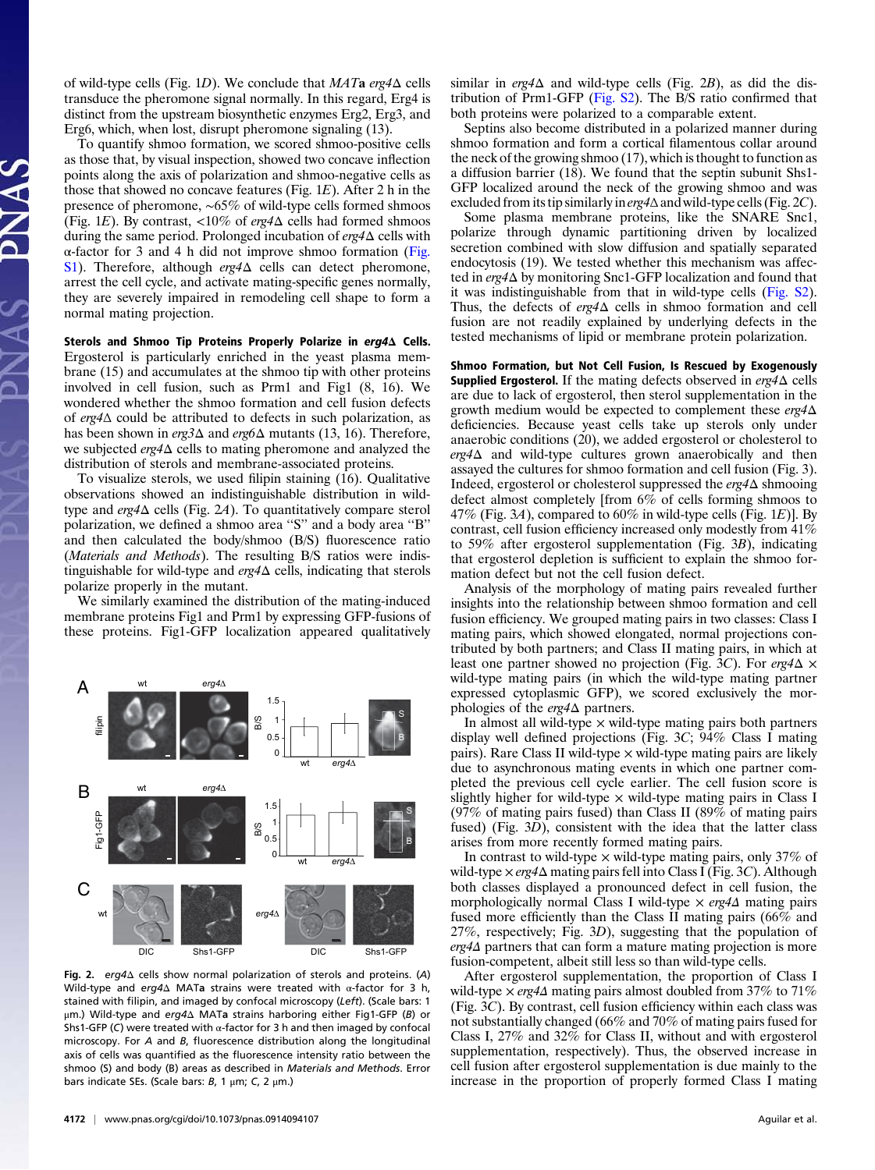of wild-type cells (Fig. 1D). We conclude that  $MATa$  erg4 $\Delta$  cells transduce the pheromone signal normally. In this regard, Erg4 is distinct from the upstream biosynthetic enzymes Erg2, Erg3, and Erg6, which, when lost, disrupt pheromone signaling (13).

To quantify shmoo formation, we scored shmoo-positive cells as those that, by visual inspection, showed two concave inflection points along the axis of polarization and shmoo-negative cells as those that showed no concave features (Fig. 1E). After 2 h in the presence of pheromone, ∼65% of wild-type cells formed shmoos (Fig. 1E). By contrast,  $\langle 10\% \rangle$  of erg4 $\Delta$  cells had formed shmoos during the same period. Prolonged incubation of erg4Δ cells with α-factor for 3 and 4 h did not improve shmoo formation [\(Fig.](http://www.pnas.org/cgi/data/0914094107/DCSupplemental/Supplemental_PDF#nameddest=sfig01) [S1](http://www.pnas.org/cgi/data/0914094107/DCSupplemental/Supplemental_PDF#nameddest=sfig01)). Therefore, although  $erg4\Delta$  cells can detect pheromone, arrest the cell cycle, and activate mating-specific genes normally, they are severely impaired in remodeling cell shape to form a normal mating projection.

Sterols and Shmoo Tip Proteins Properly Polarize in erg4<sup>Δ</sup> Cells. Ergosterol is particularly enriched in the yeast plasma membrane (15) and accumulates at the shmoo tip with other proteins involved in cell fusion, such as Prm1 and Fig1 (8, 16). We wondered whether the shmoo formation and cell fusion defects of erg4Δ could be attributed to defects in such polarization, as has been shown in erg3Δ and erg6Δ mutants (13, 16). Therefore, we subjected *erg4*∆ cells to mating pheromone and analyzed the distribution of sterols and membrane-associated proteins.

To visualize sterols, we used filipin staining (16). Qualitative observations showed an indistinguishable distribution in wildtype and erg4Δ cells (Fig. 2A). To quantitatively compare sterol polarization, we defined a shmoo area ''S'' and a body area ''B'' and then calculated the body/shmoo (B/S) fluorescence ratio (Materials and Methods). The resulting B/S ratios were indistinguishable for wild-type and  $erg4\Delta$  cells, indicating that sterols polarize properly in the mutant.

We similarly examined the distribution of the mating-induced membrane proteins Fig1 and Prm1 by expressing GFP-fusions of these proteins. Fig1-GFP localization appeared qualitatively



Fig. 2. erg4Δ cells show normal polarization of sterols and proteins. (A) Wild-type and erg4 $\Delta$  MATa strains were treated with  $\alpha$ -factor for 3 h, stained with filipin, and imaged by confocal microscopy (Left). (Scale bars: 1 μm.) Wild-type and erg4Δ MATa strains harboring either Fig1-GFP (B) or Shs1-GFP (C) were treated with  $\alpha$ -factor for 3 h and then imaged by confocal microscopy. For A and B, fluorescence distribution along the longitudinal axis of cells was quantified as the fluorescence intensity ratio between the shmoo (S) and body (B) areas as described in Materials and Methods. Error bars indicate SEs. (Scale bars:  $B$ , 1  $\mu$ m; C, 2  $\mu$ m.)

similar in erg4 $\Delta$  and wild-type cells (Fig. 2B), as did the distribution of Prm1-GFP [\(Fig. S2](http://www.pnas.org/cgi/data/0914094107/DCSupplemental/Supplemental_PDF#nameddest=sfig02)). The B/S ratio confirmed that both proteins were polarized to a comparable extent.

Septins also become distributed in a polarized manner during shmoo formation and form a cortical filamentous collar around the neck of the growing shmoo (17), which is thought to function as a diffusion barrier (18). We found that the septin subunit Shs1- GFP localized around the neck of the growing shmoo and was excluded from its tip similarly in  $erg4\Delta$  and wild-type cells (Fig. 2C).

Some plasma membrane proteins, like the SNARE Snc1, polarize through dynamic partitioning driven by localized secretion combined with slow diffusion and spatially separated endocytosis (19). We tested whether this mechanism was affected in erg4Δ by monitoring Snc1-GFP localization and found that it was indistinguishable from that in wild-type cells ([Fig. S2\)](http://www.pnas.org/cgi/data/0914094107/DCSupplemental/Supplemental_PDF#nameddest=sfig02). Thus, the defects of erg4Δ cells in shmoo formation and cell fusion are not readily explained by underlying defects in the tested mechanisms of lipid or membrane protein polarization.

Shmoo Formation, but Not Cell Fusion, Is Rescued by Exogenously **Supplied Ergosterol.** If the mating defects observed in  $erg4\Delta$  cells are due to lack of ergosterol, then sterol supplementation in the growth medium would be expected to complement these  $erg4\Delta$ deficiencies. Because yeast cells take up sterols only under anaerobic conditions (20), we added ergosterol or cholesterol to erg4Δ and wild-type cultures grown anaerobically and then assayed the cultures for shmoo formation and cell fusion (Fig. 3). Indeed, ergosterol or cholesterol suppressed the erg4Δ shmooing defect almost completely [from 6% of cells forming shmoos to 47% (Fig. 3A), compared to 60% in wild-type cells (Fig. 1E)]. By contrast, cell fusion efficiency increased only modestly from 41% to 59% after ergosterol supplementation (Fig. 3B), indicating that ergosterol depletion is sufficient to explain the shmoo formation defect but not the cell fusion defect.

Analysis of the morphology of mating pairs revealed further insights into the relationship between shmoo formation and cell fusion efficiency. We grouped mating pairs in two classes: Class I mating pairs, which showed elongated, normal projections contributed by both partners; and Class II mating pairs, in which at least one partner showed no projection (Fig. 3C). For  $erg4\Delta \times$ wild-type mating pairs (in which the wild-type mating partner expressed cytoplasmic GFP), we scored exclusively the morphologies of the  $erg4\Delta$  partners.

In almost all wild-type  $\times$  wild-type mating pairs both partners display well defined projections (Fig. 3C; 94% Class I mating pairs). Rare Class II wild-type  $\times$  wild-type mating pairs are likely due to asynchronous mating events in which one partner completed the previous cell cycle earlier. The cell fusion score is slightly higher for wild-type  $\times$  wild-type mating pairs in Class I (97% of mating pairs fused) than Class II (89% of mating pairs fused) (Fig. 3D), consistent with the idea that the latter class arises from more recently formed mating pairs.

In contrast to wild-type  $\times$  wild-type mating pairs, only 37% of wild-type  $\times erg4\Delta$  mating pairs fell into Class I (Fig. 3C). Although both classes displayed a pronounced defect in cell fusion, the morphologically normal Class I wild-type × erg4Δ mating pairs fused more efficiently than the Class II mating pairs  $(66\%$  and 27%, respectively; Fig. 3D), suggesting that the population of erg4Δ partners that can form a mature mating projection is more fusion-competent, albeit still less so than wild-type cells.

After ergosterol supplementation, the proportion of Class I wild-type  $\times$  *erg4* $\Delta$  mating pairs almost doubled from 37% to 71% (Fig. 3C). By contrast, cell fusion efficiency within each class was not substantially changed (66% and 70% of mating pairs fused for Class I, 27% and 32% for Class II, without and with ergosterol supplementation, respectively). Thus, the observed increase in cell fusion after ergosterol supplementation is due mainly to the increase in the proportion of properly formed Class I mating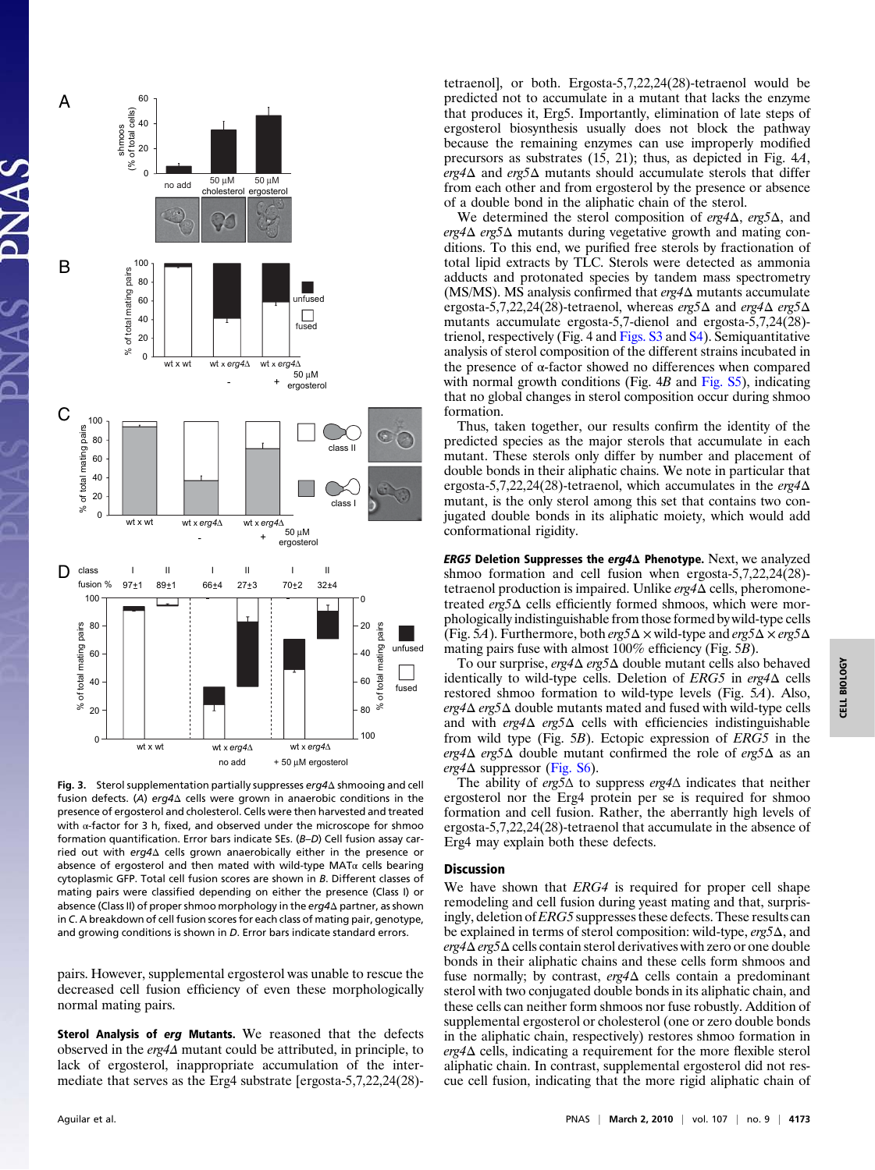

Fig. 3. Sterol supplementation partially suppresses erg4Δ shmooing and cell fusion defects. (A) erg4Δ cells were grown in anaerobic conditions in the presence of ergosterol and cholesterol. Cells were then harvested and treated with α-factor for 3 h, fixed, and observed under the microscope for shmoo formation quantification. Error bars indicate SEs. (B–D) Cell fusion assay carried out with erg4Δ cells grown anaerobically either in the presence or absence of ergosterol and then mated with wild-type MAT $\alpha$  cells bearing cytoplasmic GFP. Total cell fusion scores are shown in B. Different classes of mating pairs were classified depending on either the presence (Class I) or absence (Class II) of proper shmoo morphology in the erg4Δ partner, as shown in C. A breakdown of cell fusion scores for each class of mating pair, genotype, and growing conditions is shown in D. Error bars indicate standard errors.

pairs. However, supplemental ergosterol was unable to rescue the decreased cell fusion efficiency of even these morphologically normal mating pairs.

Sterol Analysis of erg Mutants. We reasoned that the defects observed in the erg4Δ mutant could be attributed, in principle, to lack of ergosterol, inappropriate accumulation of the intermediate that serves as the Erg4 substrate [ergosta-5,7,22,24(28)-

tetraenol], or both. Ergosta-5,7,22,24(28)-tetraenol would be predicted not to accumulate in a mutant that lacks the enzyme that produces it, Erg5. Importantly, elimination of late steps of ergosterol biosynthesis usually does not block the pathway because the remaining enzymes can use improperly modified precursors as substrates (15, 21); thus, as depicted in Fig. 4A, erg4 $\Delta$  and erg5 $\Delta$  mutants should accumulate sterols that differ from each other and from ergosterol by the presence or absence of a double bond in the aliphatic chain of the sterol.

We determined the sterol composition of  $erg4\Delta$ ,  $erg5\Delta$ , and erg4Δ erg5Δ mutants during vegetative growth and mating conditions. To this end, we purified free sterols by fractionation of total lipid extracts by TLC. Sterols were detected as ammonia adducts and protonated species by tandem mass spectrometry (MS/MS). MS analysis confirmed that erg4Δ mutants accumulate ergosta-5,7,22,24(28)-tetraenol, whereas erg5Δ and erg4Δ erg5Δ mutants accumulate ergosta-5,7-dienol and ergosta-5,7,24(28) trienol, respectively (Fig. 4 and [Figs. S3](http://www.pnas.org/cgi/data/0914094107/DCSupplemental/Supplemental_PDF#nameddest=sfig03) and [S4](http://www.pnas.org/cgi/data/0914094107/DCSupplemental/Supplemental_PDF#nameddest=sfig04)). Semiquantitative analysis of sterol composition of the different strains incubated in the presence of α-factor showed no differences when compared with normal growth conditions (Fig.  $4B$  and [Fig. S5](http://www.pnas.org/cgi/data/0914094107/DCSupplemental/Supplemental_PDF#nameddest=sfig05)), indicating that no global changes in sterol composition occur during shmoo formation.

Thus, taken together, our results confirm the identity of the predicted species as the major sterols that accumulate in each mutant. These sterols only differ by number and placement of double bonds in their aliphatic chains. We note in particular that ergosta-5,7,22,24(28)-tetraenol, which accumulates in the  $erg4\Delta$ mutant, is the only sterol among this set that contains two conjugated double bonds in its aliphatic moiety, which would add conformational rigidity.

**ERG5 Deletion Suppresses the erg4Δ Phenotype.** Next, we analyzed shmoo formation and cell fusion when ergosta-5,7,22,24(28) tetraenol production is impaired. Unlike erg4Δ cells, pheromonetreated erg5Δ cells efficiently formed shmoos, which were morphologically indistinguishable from those formed by wild-type cells (Fig. 5A). Furthermore, both  $erg5\Delta \times$  wild-type and  $erg5\Delta \times erg5\Delta$ mating pairs fuse with almost 100% efficiency (Fig. 5B).

To our surprise, erg4Δ erg5Δ double mutant cells also behaved identically to wild-type cells. Deletion of  $ERG5$  in erg4 $\Delta$  cells restored shmoo formation to wild-type levels (Fig. 5A). Also, erg4Δ erg5Δ double mutants mated and fused with wild-type cells and with  $erg4\Delta~erg5\Delta$  cells with efficiencies indistinguishable from wild type (Fig. 5B). Ectopic expression of ERG5 in the erg4 $\Delta$  erg5 $\Delta$  double mutant confirmed the role of erg5 $\Delta$  as an  $erg4\Delta$  suppressor [\(Fig. S6\)](http://www.pnas.org/cgi/data/0914094107/DCSupplemental/Supplemental_PDF#nameddest=sfig06).

The ability of erg5 $\Delta$  to suppress erg4 $\Delta$  indicates that neither ergosterol nor the Erg4 protein per se is required for shmoo formation and cell fusion. Rather, the aberrantly high levels of ergosta-5,7,22,24(28)-tetraenol that accumulate in the absence of Erg4 may explain both these defects.

## Discussion

We have shown that *ERG4* is required for proper cell shape remodeling and cell fusion during yeast mating and that, surprisingly, deletion of *ERG5* suppresses these defects. These results can be explained in terms of sterol composition: wild-type, erg5Δ, and erg4Δ erg5Δ cells contain sterol derivatives with zero or one double bonds in their aliphatic chains and these cells form shmoos and fuse normally; by contrast,  $erg4\Delta$  cells contain a predominant sterol with two conjugated double bonds in its aliphatic chain, and these cells can neither form shmoos nor fuse robustly. Addition of supplemental ergosterol or cholesterol (one or zero double bonds in the aliphatic chain, respectively) restores shmoo formation in erg4Δ cells, indicating a requirement for the more flexible sterol aliphatic chain. In contrast, supplemental ergosterol did not rescue cell fusion, indicating that the more rigid aliphatic chain of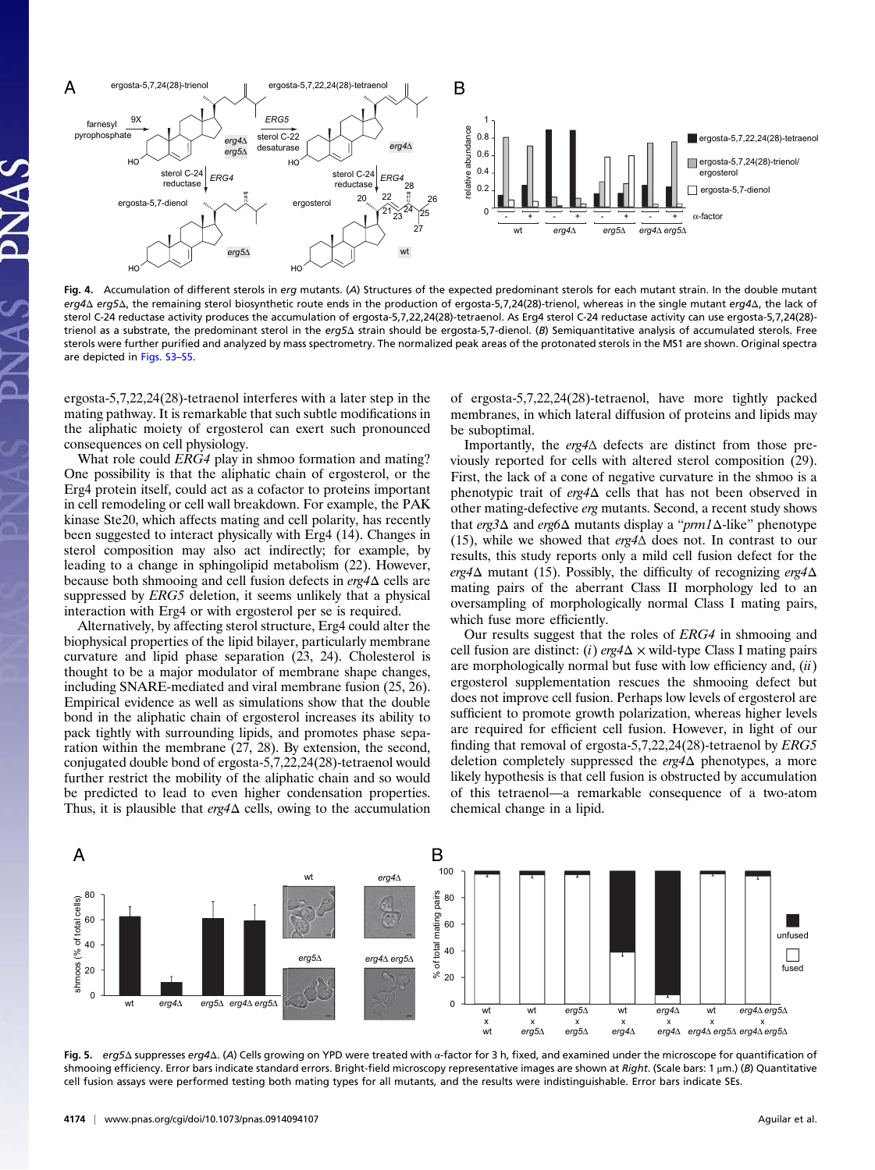

Fig. 4. Accumulation of different sterols in erg mutants. (A) Structures of the expected predominant sterols for each mutant strain. In the double mutant erg4Δ erg5Δ, the remaining sterol biosynthetic route ends in the production of ergosta-5,7,24(28)-trienol, whereas in the single mutant erg4Δ, the lack of sterol C-24 reductase activity produces the accumulation of ergosta-5,7,22,24(28)-tetraenol. As Erg4 sterol C-24 reductase activity can use ergosta-5,7,24(28) trienol as a substrate, the predominant sterol in the erg5Δ strain should be ergosta-5,7-dienol. (B) Semiquantitative analysis of accumulated sterols. Free sterols were further purified and analyzed by mass spectrometry. The normalized peak areas of the protonated sterols in the MS1 are shown. Original spectra are depicted in [Figs. S3](http://www.pnas.org/cgi/data/0914094107/DCSupplemental/Supplemental_PDF#nameddest=sfig03)–[S5.](http://www.pnas.org/cgi/data/0914094107/DCSupplemental/Supplemental_PDF#nameddest=sfig05)

ergosta-5,7,22,24(28)-tetraenol interferes with a later step in the mating pathway. It is remarkable that such subtle modifications in the aliphatic moiety of ergosterol can exert such pronounced consequences on cell physiology.

What role could *ERG4* play in shmoo formation and mating? One possibility is that the aliphatic chain of ergosterol, or the Erg4 protein itself, could act as a cofactor to proteins important in cell remodeling or cell wall breakdown. For example, the PAK kinase Ste20, which affects mating and cell polarity, has recently been suggested to interact physically with Erg4 (14). Changes in sterol composition may also act indirectly; for example, by leading to a change in sphingolipid metabolism (22). However, because both shmooing and cell fusion defects in  $erg4\Delta$  cells are suppressed by *ERG5* deletion, it seems unlikely that a physical interaction with Erg4 or with ergosterol per se is required.

Alternatively, by affecting sterol structure, Erg4 could alter the biophysical properties of the lipid bilayer, particularly membrane curvature and lipid phase separation (23, 24). Cholesterol is thought to be a major modulator of membrane shape changes, including SNARE-mediated and viral membrane fusion (25, 26). Empirical evidence as well as simulations show that the double bond in the aliphatic chain of ergosterol increases its ability to pack tightly with surrounding lipids, and promotes phase separation within the membrane (27, 28). By extension, the second, conjugated double bond of ergosta-5,7,22,24(28)-tetraenol would further restrict the mobility of the aliphatic chain and so would be predicted to lead to even higher condensation properties. Thus, it is plausible that  $erg4\Delta$  cells, owing to the accumulation of ergosta-5,7,22,24(28)-tetraenol, have more tightly packed membranes, in which lateral diffusion of proteins and lipids may be suboptimal.

Importantly, the erg4Δ defects are distinct from those previously reported for cells with altered sterol composition (29). First, the lack of a cone of negative curvature in the shmoo is a phenotypic trait of erg4Δ cells that has not been observed in other mating-defective erg mutants. Second, a recent study shows that erg3Δ and erg6Δ mutants display a "prm1Δ-like" phenotype (15), while we showed that erg4Δ does not. In contrast to our results, this study reports only a mild cell fusion defect for the erg4 $\Delta$  mutant (15). Possibly, the difficulty of recognizing erg4 $\Delta$ mating pairs of the aberrant Class II morphology led to an oversampling of morphologically normal Class I mating pairs, which fuse more efficiently.

Our results suggest that the roles of ERG4 in shmooing and cell fusion are distinct: (i)  $erg4\Delta \times$  wild-type Class I mating pairs are morphologically normal but fuse with low efficiency and,  $(ii)$ ergosterol supplementation rescues the shmooing defect but does not improve cell fusion. Perhaps low levels of ergosterol are sufficient to promote growth polarization, whereas higher levels are required for efficient cell fusion. However, in light of our finding that removal of ergosta-5,7,22,24(28)-tetraenol by ERG5 deletion completely suppressed the erg4Δ phenotypes, a more likely hypothesis is that cell fusion is obstructed by accumulation of this tetraenol—a remarkable consequence of a two-atom chemical change in a lipid.



Fig. 5. erg5Δ suppresses erg4Δ. (A) Cells growing on YPD were treated with α-factor for 3 h, fixed, and examined under the microscope for quantification of shmooing efficiency. Error bars indicate standard errors. Bright-field microscopy representative images are shown at Right. (Scale bars: 1 μm.) (Β) Quantitative cell fusion assays were performed testing both mating types for all mutants, and the results were indistinguishable. Error bars indicate SEs.